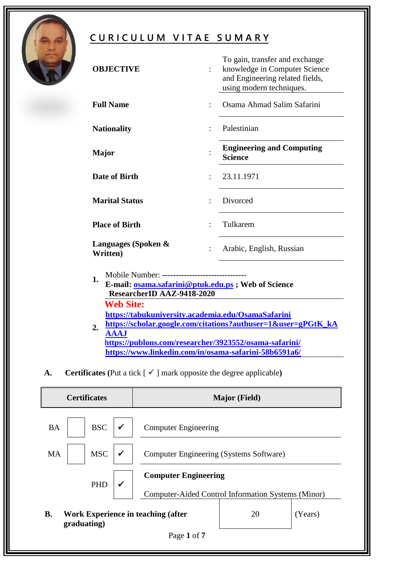

# **C U R I C U L U M V I T A E S U M A R Y**

| <b>OBJECTIVE</b>                                                                                                                         | $\ddot{\cdot}$       | To gain, transfer and exchange<br>knowledge in Computer Science<br>and Engineering related fields,<br>using modern techniques. |  |  |
|------------------------------------------------------------------------------------------------------------------------------------------|----------------------|--------------------------------------------------------------------------------------------------------------------------------|--|--|
| <b>Full Name</b>                                                                                                                         | $\ddot{\phantom{0}}$ | Osama Ahmad Salim Safarini                                                                                                     |  |  |
| <b>Nationality</b>                                                                                                                       | $\ddot{\cdot}$       | Palestinian                                                                                                                    |  |  |
| <b>Major</b>                                                                                                                             |                      | <b>Engineering and Computing</b><br><b>Science</b>                                                                             |  |  |
| Date of Birth                                                                                                                            |                      | 23.11.1971                                                                                                                     |  |  |
| <b>Marital Status</b>                                                                                                                    | $\ddot{\cdot}$       | Divorced                                                                                                                       |  |  |
| <b>Place of Birth</b>                                                                                                                    |                      | Tulkarem                                                                                                                       |  |  |
| Languages (Spoken &<br>Written)                                                                                                          | $\ddot{\cdot}$       | Arabic, English, Russian                                                                                                       |  |  |
| Mobile Number: -------------------------------<br>1.<br>E-mail: osama.safarini@ptuk.edu.ps; Web of Science<br>ResearcherID AAZ-9418-2020 |                      |                                                                                                                                |  |  |

**ResearcherID AAZ-9418-2020 2. Web Site: <https://tabukuniversity.academia.edu/OsamaSafarini> [https://scholar.google.com/citations?authuser=1&user=gPGtK\\_kA](https://scholar.google.com/citations?authuser=1&user=gPGtK_kAAAAJ) [AAAJ](https://scholar.google.com/citations?authuser=1&user=gPGtK_kAAAAJ) <https://publons.com/researcher/3923552/osama-safarini/> <https://www.linkedin.com/in/osama-safarini-58b6591a6/>**

# **A. Certificates** (Put a tick  $\mathbf{v}'$  mark opposite the degree applicable)

| <b>Certificates</b>                                                   | <b>Major</b> (Field)                                                              |  |  |  |
|-----------------------------------------------------------------------|-----------------------------------------------------------------------------------|--|--|--|
| <b>BSC</b><br><b>BA</b><br>✔                                          | <b>Computer Engineering</b>                                                       |  |  |  |
| <b>MSC</b><br><b>MA</b><br>✓                                          | Computer Engineering (Systems Software)                                           |  |  |  |
| <b>PHD</b><br>$\checkmark$                                            | <b>Computer Engineering</b><br>Computer-Aided Control Information Systems (Minor) |  |  |  |
| <b>B.</b><br><b>Work Experience in teaching (after</b><br>graduating) | 20<br>(Years)                                                                     |  |  |  |
| Page 1 of 7                                                           |                                                                                   |  |  |  |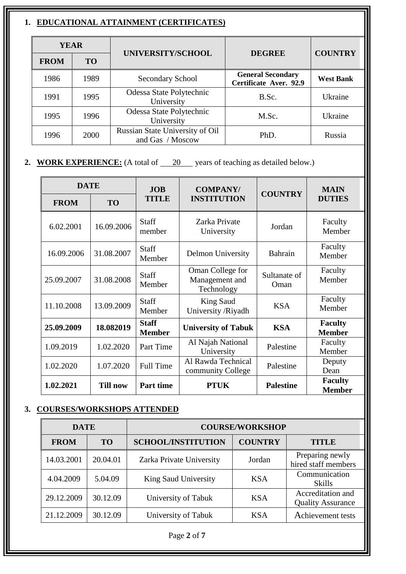## **1. EDUCATIONAL ATTAINMENT (CERTIFICATES)**

|             | EDUCATIONAL ATTAINMENT (CERTIFICATES) |                                                     |                                                    |                  |  |  |
|-------------|---------------------------------------|-----------------------------------------------------|----------------------------------------------------|------------------|--|--|
| <b>YEAR</b> |                                       |                                                     |                                                    |                  |  |  |
| <b>FROM</b> | <b>TO</b>                             | UNIVERSITY/SCHOOL                                   | <b>DEGREE</b>                                      | <b>COUNTRY</b>   |  |  |
| 1986        | 1989                                  | Secondary School                                    | <b>General Secondary</b><br>Certificate Aver. 92.9 | <b>West Bank</b> |  |  |
| 1991        | 1995                                  | Odessa State Polytechnic<br>University              | B.Sc.                                              | Ukraine          |  |  |
| 1995        | 1996                                  | Odessa State Polytechnic<br>University              | M.Sc.                                              | Ukraine          |  |  |
| 1996        | 2000                                  | Russian State University of Oil<br>and Gas / Moscow | PhD.                                               | Russia           |  |  |

# 2. **WORK EXPERIENCE:** (A total of 20 years of teaching as detailed below.)

| <b>DATE</b> |                 | <b>JOB</b><br><b>COMPANY/</b>      |                                                  |                      | <b>MAIN</b>                     |
|-------------|-----------------|------------------------------------|--------------------------------------------------|----------------------|---------------------------------|
| <b>FROM</b> | <b>TO</b>       | <b>INSTITUTION</b><br><b>TITLE</b> |                                                  | <b>COUNTRY</b>       | <b>DUTIES</b>                   |
| 6.02.2001   | 16.09.2006      | Staff<br>member                    | Zarka Private<br>University                      | Jordan               | Faculty<br>Member               |
| 16.09.2006  | 31.08.2007      | Staff<br>Member                    | Delmon University                                | Bahrain              | Faculty<br>Member               |
| 25.09.2007  | 31.08.2008      | <b>Staff</b><br>Member             | Oman College for<br>Management and<br>Technology | Sultanate of<br>Oman | Faculty<br>Member               |
| 11.10.2008  | 13.09.2009      | Staff<br>Member                    | <b>King Saud</b><br>University /Riyadh           | <b>KSA</b>           | Faculty<br>Member               |
| 25.09.2009  | 18.082019       | <b>Staff</b><br><b>Member</b>      | <b>University of Tabuk</b>                       | <b>KSA</b>           | <b>Faculty</b><br><b>Member</b> |
| 1.09.2019   | 1.02.2020       | Part Time                          | Al Najah National<br>University                  | Palestine            | Faculty<br>Member               |
| 1.02.2020   | 1.07.2020       | <b>Full Time</b>                   | Al Rawda Technical<br>community College          | Palestine            | Deputy<br>Dean                  |
| 1.02.2021   | <b>Till now</b> | Part time                          | <b>PTUK</b>                                      | <b>Palestine</b>     | <b>Faculty</b><br><b>Member</b> |

## **3. COURSES/WORKSHOPS ATTENDED**

| <b>DATE</b>       |          | <b>COURSE/WORKSHOP</b>    |                |                                               |  |
|-------------------|----------|---------------------------|----------------|-----------------------------------------------|--|
| <b>FROM</b><br>TO |          | <b>SCHOOL/INSTITUTION</b> | <b>COUNTRY</b> | <b>TITLE</b>                                  |  |
| 14.03.2001        | 20.04.01 | Zarka Private University  | Jordan         | Preparing newly<br>hired staff members        |  |
| 4.04.2009         | 5.04.09  | King Saud University      | <b>KSA</b>     | Communication<br>Skills                       |  |
| 29.12.2009        | 30.12.09 | University of Tabuk       | <b>KSA</b>     | Accreditation and<br><b>Quality Assurance</b> |  |
| 21.12.2009        | 30.12.09 | University of Tabuk       | <b>KSA</b>     | Achievement tests                             |  |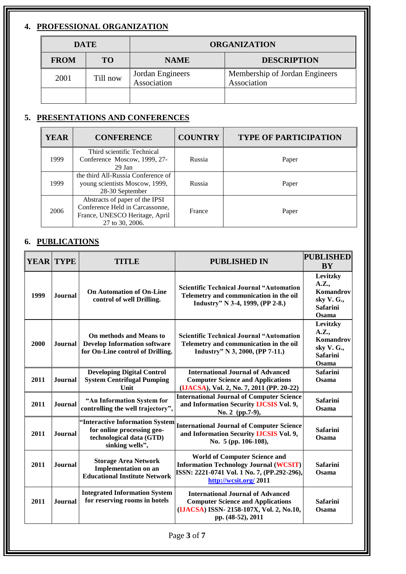#### **4. PROFESSIONAL ORGANIZATION**

| <b>DATE</b> |                 | <b>ORGANIZATION</b>             |                                               |  |
|-------------|-----------------|---------------------------------|-----------------------------------------------|--|
| <b>FROM</b> | TO <sub>1</sub> | <b>NAME</b>                     | <b>DESCRIPTION</b>                            |  |
| 2001        | Till now        | Jordan Engineers<br>Association | Membership of Jordan Engineers<br>Association |  |
|             |                 |                                 |                                               |  |

# **5. PRESENTATIONS AND CONFERENCES**

| YEAR | <b>CONFERENCE</b>                                                                                                      | <b>COUNTRY</b> | <b>TYPE OF PARTICIPATION</b> |
|------|------------------------------------------------------------------------------------------------------------------------|----------------|------------------------------|
| 1999 | Third scientific Technical<br>Conference Moscow, 1999, 27-<br>29 Jan                                                   | Russia         | Paper                        |
| 1999 | the third All-Russia Conference of<br>young scientists Moscow, 1999,<br>28-30 September                                | Russia         | Paper                        |
| 2006 | Abstracts of paper of the IPSI<br>Conference Held in Carcassonne,<br>France, UNESCO Heritage, April<br>27 to 30, 2006. | France         | Paper                        |

### **6. PUBLICATIONS**

| 1999 |                |                                                                                                              |                                                                                                                                                         | <b>BY</b>                                                         |
|------|----------------|--------------------------------------------------------------------------------------------------------------|---------------------------------------------------------------------------------------------------------------------------------------------------------|-------------------------------------------------------------------|
|      | <b>Journal</b> | <b>On Automation of On-Line</b><br>control of well Drilling.                                                 | <b>Scientific Technical Journal "Automation</b><br>Telemetry and communication in the oil<br>Industry" N 3-4, 1999, (PP 2-8.)                           | Levitzky<br>A.Z.,<br>Komandrov<br>sky V. G.,<br>Safarini<br>Osama |
| 2000 | Journal        | On methods and Means to<br><b>Develop Information software</b><br>for On-Line control of Drilling.           | <b>Scientific Technical Journal "Automation</b><br>Telemetry and communication in the oil<br>Industry" N 3, 2000, (PP 7-11.)                            | Levitzky<br>A.Z.,<br>Komandrov<br>sky V. G.,<br>Safarini<br>Osama |
| 2011 | <b>Journal</b> | <b>Developing Digital Control</b><br><b>System Centrifugal Pumping</b><br>Unit                               | <b>International Journal of Advanced</b><br><b>Computer Science and Applications</b><br>(IJACSA), Vol. 2, No. 7, 2011 (PP. 20-22)                       | Safarini<br>Osama                                                 |
| 2011 | <b>Journal</b> | "An Information System for<br>controlling the well trajectory",                                              | <b>International Journal of Computer Science</b><br>and Information Security IJCSIS Vol. 9,<br>No. 2 (pp.7-9),                                          | <b>Safarini</b><br>Osama                                          |
| 2011 | <b>Journal</b> | "Interactive Information System<br>for online processing geo-<br>technological data (GTD)<br>sinking wells", | <b>International Journal of Computer Science</b><br>and Information Security IJCSIS Vol. 9,<br>No. 5 (pp. 106-108),                                     | <b>Safarini</b><br>Osama                                          |
| 2011 | <b>Journal</b> | <b>Storage Area Network</b><br><b>Implementation</b> on an<br><b>Educational Institute Network</b>           | World of Computer Science and<br><b>Information Technology Journal (WCSIT)</b><br>ISSN: 2221-0741 Vol. 1 No. 7, (PP.292-296),<br>http://wcsit.org/ 2011 | Safarini<br>Osama                                                 |
| 2011 | <b>Journal</b> | <b>Integrated Information System</b><br>for reserving rooms in hotels                                        | <b>International Journal of Advanced</b><br><b>Computer Science and Applications</b><br>(IJACSA) ISSN-2158-107X, Vol. 2, No.10,<br>pp. (48-52), 2011    | Safarini<br>Osama                                                 |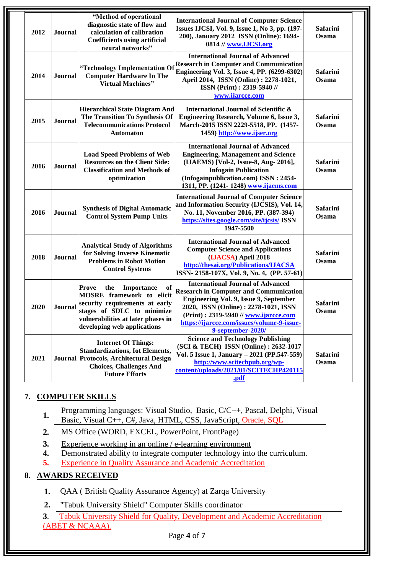| 2012 | <b>Journal</b> | "Method of operational<br>diagnostic state of flow and<br>calculation of calibration<br><b>Coefficients using artificial</b><br>neural networks"                                                          | <b>International Journal of Computer Science</b><br>Issues IJCSI, Vol. 9, Issue 1, No 3, pp. (197-<br>200), January 2012 ISSN (Online): 1694-<br>0814 // www.IJCSI.org                                                                                                                    | Safarini<br>Osama               |
|------|----------------|-----------------------------------------------------------------------------------------------------------------------------------------------------------------------------------------------------------|-------------------------------------------------------------------------------------------------------------------------------------------------------------------------------------------------------------------------------------------------------------------------------------------|---------------------------------|
| 2014 | <b>Journal</b> | "Technology Implementation O<br><b>Computer Hardware In The</b><br><b>Virtual Machines"</b>                                                                                                               | <b>International Journal of Advanced</b><br><b>Research in Computer and Communication</b><br>Engineering Vol. 3, Issue 4, PP. (6299-6302)<br>April 2014, ISSN (Online): 2278-1021,<br>ISSN (Print): 2319-5940 //<br>www.ijarcce.com                                                       | <b>Safarini</b><br><b>Osama</b> |
| 2015 | <b>Journal</b> | <b>Hierarchical State Diagram And</b><br>The Transition To Synthesis Of<br><b>Telecommunications Protocol</b><br><b>Automaton</b>                                                                         | International Journal of Scientific &<br>Engineering Research, Volume 6, Issue 3,<br>March-2015 ISSN 2229-5518, PP. (1457-<br>1459) http://www.ijser.org                                                                                                                                  | Safarini<br><b>Osama</b>        |
| 2016 | <b>Journal</b> | <b>Load Speed Problems of Web</b><br><b>Resources on the Client Side:</b><br><b>Classification and Methods of</b><br>optimization                                                                         | <b>International Journal of Advanced</b><br><b>Engineering, Management and Science</b><br>(IJAEMS) [Vol-2, Issue-8, Aug- 2016],<br><b>Infogain Publication</b><br>(Infogainpublication.com) ISSN: 2454-<br>1311, PP. (1241-1248) www.ijaems.com                                           | <b>Safarini</b><br>Osama        |
| 2016 | <b>Journal</b> | <b>Synthesis of Digital Automatic</b><br><b>Control System Pump Units</b>                                                                                                                                 | <b>International Journal of Computer Science</b><br>and Information Security (IJCSIS), Vol. 14,<br>No. 11, November 2016, PP. (387-394)<br>https://sites.google.com/site/ijcsis/ ISSN<br>1947-5500                                                                                        | <b>Safarini</b><br>Osama        |
| 2018 | <b>Journal</b> | <b>Analytical Study of Algorithms</b><br>for Solving Inverse Kinematic<br><b>Problems in Robot Motion</b><br><b>Control Systems</b>                                                                       | <b>International Journal of Advanced</b><br><b>Computer Science and Applications</b><br>(IJACSA) April 2018<br>http://thesai.org/Publications/IJACSA<br>ISSN-2158-107X, Vol. 9, No. 4, (PP. 57-61)                                                                                        | Safarini<br>Osama               |
| 2020 | <b>Journal</b> | of<br>the<br>Prove<br><b>Importance</b><br>MOSRE framework to elicit<br>security requirements at early<br>stages of SDLC to minimize<br>vulnerabilities at later phases in<br>developing web applications | <b>International Journal of Advanced</b><br><b>Research in Computer and Communication</b><br>Engineering Vol. 9, Issue 9, September<br>2020, ISSN (Online): 2278-1021, ISSN<br>$(Print): 2319-5940$ // www.ijarcce.com<br>https://ijarcce.com/issues/volume-9-issue-<br>9-september-2020/ | Safarini<br>Osama               |
| 2021 |                | <b>Internet Of Things:</b><br><b>Standardizations, Iot Elements,</b><br><b>Journal Protocols, Architectural Design</b><br><b>Choices, Challenges And</b><br><b>Future Efforts</b>                         | <b>Science and Technology Publishing</b><br>(SCI & TECH) ISSN (Online) : 2632-1017<br>Vol. 5 Issue 1, January - 2021 (PP.547-559)<br>http://www.scitechpub.org/wp-<br>content/uploads/2021/01/SCITECHP420115<br>.pdf                                                                      | <b>Safarini</b><br>Osama        |

#### **7. COMPUTER SKILLS**

- **1.** Programming languages: Visual Studio, Basic, C/C++, Pascal, Delphi, Visual Basic, Visual C++, C#, Java, HTML, CSS, JavaScript, Oracle, SQL
- **2.** MS Office (WORD, EXCEL, PowerPoint, FrontPage)
- **3.** Experience working in an online / e-learning environment
- **4.** Demonstrated ability to integrate computer technology into the curriculum.
- **5.** Experience in Quality Assurance and Academic Accreditation

#### **8. AWARDS RECEIVED**

- **1.** QAA ( British Quality Assurance Agency) at Zarqa University
- **2.** "Tabuk University Shield" Computer Skills coordinator
- **3**. Tabuk University Shield for Quality, Development and Academic Accreditation (ABET & NCAAA).

Page **4** of **7**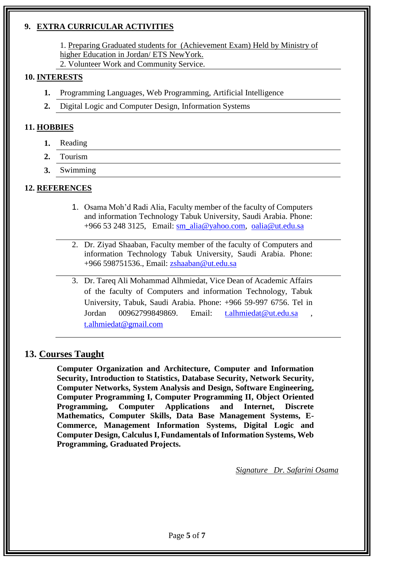#### **9. EXTRA CURRICULAR ACTIVITIES**

1. Preparing Graduated students for (Achievement Exam) Held by Ministry of higher Education in Jordan/ ETS NewYork. 2. Volunteer Work and Community Service.

#### **10. INTERESTS**

- **1.** Programming Languages, Web Programming, Artificial Intelligence
- **2.** Digital Logic and Computer Design, Information Systems

#### **11. HOBBIES**

- **1.** Reading
- **2.** Tourism
- **3.** Swimming

#### **12. REFERENCES**

- 1. Osama Moh'd Radi Alia, Faculty member of the faculty of Computers and information Technology Tabuk University, Saudi Arabia. Phone: +966 53 248 3125, Email: [sm\\_alia@yahoo.com,](mailto:sm_alia@yahoo.com) [oalia@ut.edu.sa](mailto:oalia@ut.edu.sa)
- 2. Dr. Ziyad Shaaban, Faculty member of the faculty of Computers and information Technology Tabuk University, Saudi Arabia. Phone: +966 598751536., Email: [zshaaban@ut.edu.sa](mailto:zshaaban@ut.edu.sa)
- 3. Dr. Tareq Ali Mohammad Alhmiedat, Vice Dean of Academic Affairs of the faculty of Computers and information Technology, Tabuk University, Tabuk, Saudi Arabia. Phone: +966 59-997 6756. Tel in Jordan 00962799849869. Email: [t.alhmiedat@ut.edu.sa](mailto:t.alhmiedat@ut.edu.sa) [t.alhmiedat@gmail.com](mailto:t.alhmiedat@gmail.com)

#### **13. Courses Taught**

**Computer Organization and Architecture, Computer and Information Security, Introduction to Statistics, Database Security, Network Security, Computer Networks, System Analysis and Design, Software Engineering, Computer Programming I, Computer Programming II, Object Oriented Programming, Computer Applications and Internet, Discrete Mathematics, Computer Skills, Data Base Management Systems, E-Commerce, Management Information Systems, Digital Logic and Computer Design, Calculus I, Fundamentals of Information Systems, Web Programming, Graduated Projects.**

*Signature Dr. Safarini Osama*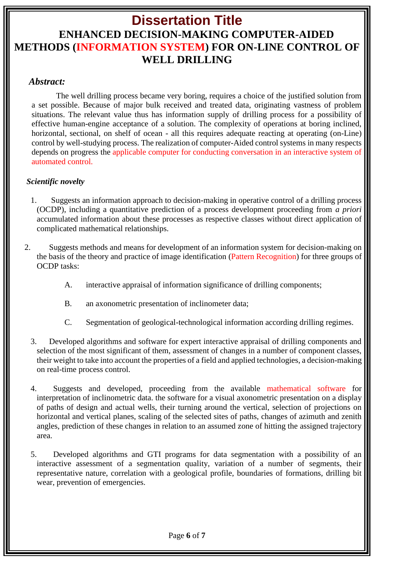# **Dissertation Title ENHANCED DECISION-MAKING COMPUTER-AIDED METHODS (INFORMATION SYSTEM) FOR ON-LINE CONTROL OF WELL DRILLING**

#### *Abstract:*

The well drilling process became very boring, requires a choice of the justified solution from a set possible. Because of major bulk received and treated data, originating vastness of problem situations. The relevant value thus has information supply of drilling process for a possibility of effective human-engine acceptance of a solution. The complexity of operations at boring inclined, horizontal, sectional, on shelf of ocean - all this requires adequate reacting at operating (on-Line) control by well-studying process. The realization of computer-Aided control systems in many respects depends on progress the applicable computer for conducting conversation in an interactive system of automated control.

#### *Scientific novelty*

- 1. Suggests an information approach to decision-making in operative control of a drilling process (OCDP), including a quantitative prediction of a process development proceeding from *a priori* accumulated information about these processes as respective classes without direct application of complicated mathematical relationships.
- 2. Suggests methods and means for development of an information system for decision-making on the basis of the theory and practice of image identification (Pattern Recognition) for three groups of OCDP tasks:
	- A. interactive appraisal of information significance of drilling components;
	- B. an axonometric presentation of inclinometer data;
	- C. Segmentation of geological-technological information according drilling regimes.
	- 3. Developed algorithms and software for expert interactive appraisal of drilling components and selection of the most significant of them, assessment of changes in a number of component classes, their weight to take into account the properties of a field and applied technologies, a decision-making on real-time process control.
	- 4. Suggests and developed, proceeding from the available mathematical software for interpretation of inclinometric data. the software for a visual axonometric presentation on a display of paths of design and actual wells, their turning around the vertical, selection of projections on horizontal and vertical planes, scaling of the selected sites of paths, changes of azimuth and zenith angles, prediction of these changes in relation to an assumed zone of hitting the assigned trajectory area.
	- 5. Developed algorithms and GTI programs for data segmentation with a possibility of an interactive assessment of a segmentation quality, variation of a number of segments, their representative nature, correlation with a geological profile, boundaries of formations, drilling bit wear, prevention of emergencies.